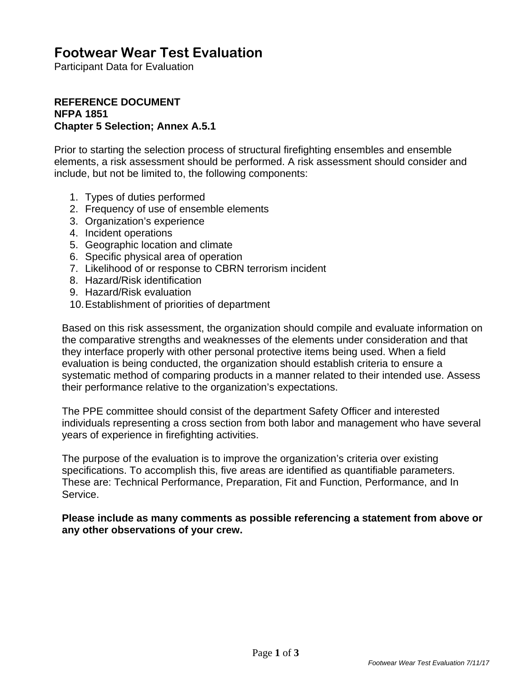# **Footwear Wear Test Evaluation**

Participant Data for Evaluation

#### **REFERENCE DOCUMENT NFPA 1851 Chapter 5 Selection; Annex A.5.1**

Prior to starting the selection process of structural firefighting ensembles and ensemble elements, a risk assessment should be performed. A risk assessment should consider and include, but not be limited to, the following components:

- 1. Types of duties performed
- 2. Frequency of use of ensemble elements
- 3. Organization's experience
- 4. Incident operations
- 5. Geographic location and climate
- 6. Specific physical area of operation
- 7. Likelihood of or response to CBRN terrorism incident
- 8. Hazard/Risk identification
- 9. Hazard/Risk evaluation
- 10. Establishment of priorities of department

Based on this risk assessment, the organization should compile and evaluate information on the comparative strengths and weaknesses of the elements under consideration and that they interface properly with other personal protective items being used. When a field evaluation is being conducted, the organization should establish criteria to ensure a systematic method of comparing products in a manner related to their intended use. Assess their performance relative to the organization's expectations.

The PPE committee should consist of the department Safety Officer and interested individuals representing a cross section from both labor and management who have several years of experience in firefighting activities.

The purpose of the evaluation is to improve the organization's criteria over existing specifications. To accomplish this, five areas are identified as quantifiable parameters. These are: Technical Performance, Preparation, Fit and Function, Performance, and In Service.

**Please include as many comments as possible referencing a statement from above or any other observations of your crew.**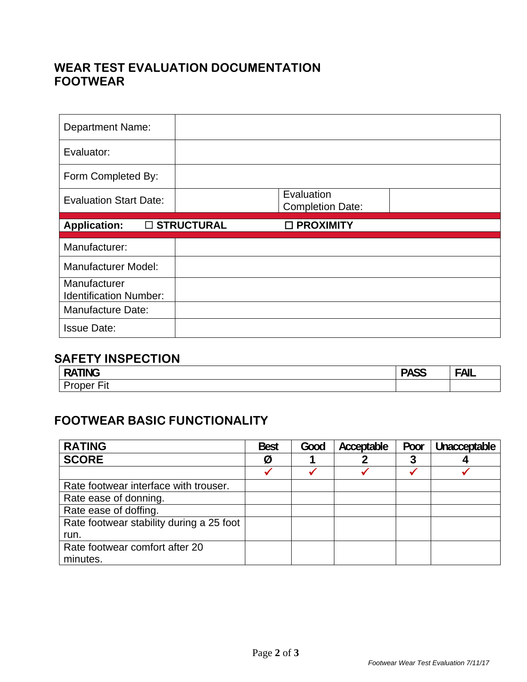# **WEAR TEST EVALUATION DOCUMENTATION FOOTWEAR**

| <b>Department Name:</b>                       |              |                                       |  |
|-----------------------------------------------|--------------|---------------------------------------|--|
| Evaluator:                                    |              |                                       |  |
| Form Completed By:                            |              |                                       |  |
| <b>Evaluation Start Date:</b>                 |              | Evaluation<br><b>Completion Date:</b> |  |
|                                               |              |                                       |  |
| <b>Application:</b>                           | □ STRUCTURAL | □ PROXIMITY                           |  |
| Manufacturer:                                 |              |                                       |  |
| <b>Manufacturer Model:</b>                    |              |                                       |  |
| Manufacturer<br><b>Identification Number:</b> |              |                                       |  |
| Manufacture Date:                             |              |                                       |  |

# **SAFETY INSPECTION**

| --- - -<br>-<br><b>ING</b><br>-<br>. . | <b>DACC</b><br>. .<br>ט∪ר | <b>FAIL</b><br>$\mathbf{A}$<br>∟ור |
|----------------------------------------|---------------------------|------------------------------------|
| $- \cdot$ .<br>-<br>⊢it                |                           |                                    |

# **FOOTWEAR BASIC FUNCTIONALITY**

| <b>RATING</b>                            | <b>Best</b> | Good | Acceptable | Poor | Unacceptable |
|------------------------------------------|-------------|------|------------|------|--------------|
| <b>SCORE</b>                             | Ø           |      |            |      |              |
|                                          |             |      |            |      |              |
| Rate footwear interface with trouser.    |             |      |            |      |              |
| Rate ease of donning.                    |             |      |            |      |              |
| Rate ease of doffing.                    |             |      |            |      |              |
| Rate footwear stability during a 25 foot |             |      |            |      |              |
| run.                                     |             |      |            |      |              |
| Rate footwear comfort after 20           |             |      |            |      |              |
| minutes.                                 |             |      |            |      |              |